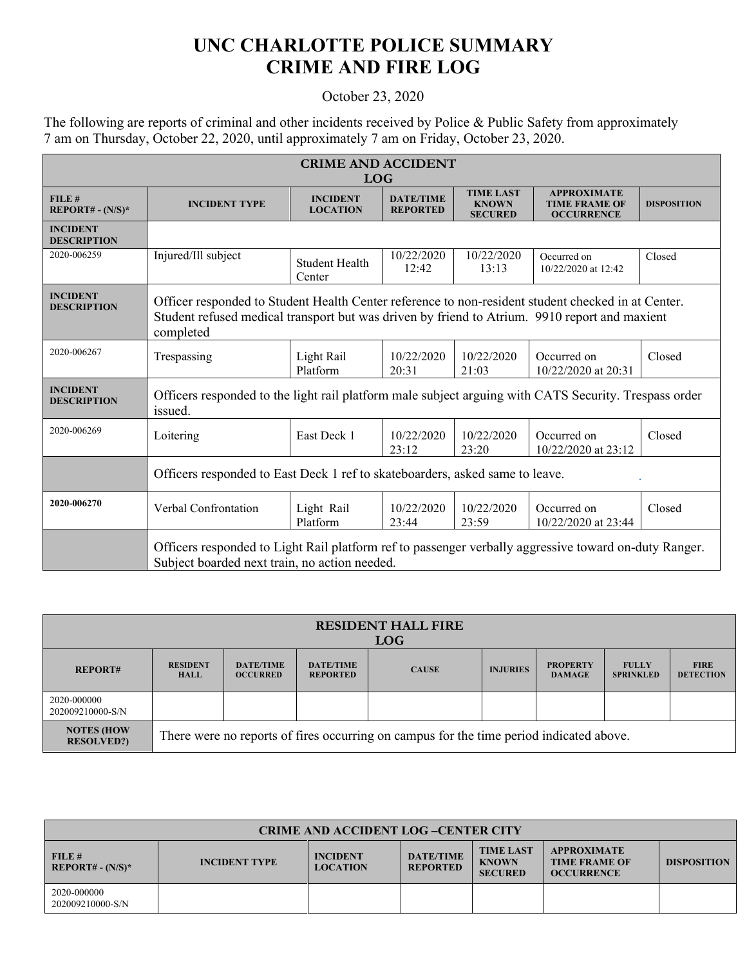## **UNC CHARLOTTE POLICE SUMMARY CRIME AND FIRE LOG**

## October 23, 2020

The following are reports of criminal and other incidents received by Police & Public Safety from approximately 7 am on Thursday, October 22, 2020, until approximately 7 am on Friday, October 23, 2020.

| <b>CRIME AND ACCIDENT</b>             |                                                                                                                                                                                                                  |                                    |                                     |                                                    |                                                                 |                    |  |
|---------------------------------------|------------------------------------------------------------------------------------------------------------------------------------------------------------------------------------------------------------------|------------------------------------|-------------------------------------|----------------------------------------------------|-----------------------------------------------------------------|--------------------|--|
| <b>LOG</b>                            |                                                                                                                                                                                                                  |                                    |                                     |                                                    |                                                                 |                    |  |
| FILE#<br>REPORT# - $(N/S)^*$          | <b>INCIDENT TYPE</b>                                                                                                                                                                                             | <b>INCIDENT</b><br><b>LOCATION</b> | <b>DATE/TIME</b><br><b>REPORTED</b> | <b>TIME LAST</b><br><b>KNOWN</b><br><b>SECURED</b> | <b>APPROXIMATE</b><br><b>TIME FRAME OF</b><br><b>OCCURRENCE</b> | <b>DISPOSITION</b> |  |
| <b>INCIDENT</b><br><b>DESCRIPTION</b> |                                                                                                                                                                                                                  |                                    |                                     |                                                    |                                                                 |                    |  |
| 2020-006259                           | Injured/Ill subject                                                                                                                                                                                              | <b>Student Health</b><br>Center    | 10/22/2020<br>12:42                 | 10/22/2020<br>13:13                                | Occurred on<br>10/22/2020 at 12:42                              | Closed             |  |
| <b>INCIDENT</b><br><b>DESCRIPTION</b> | Officer responded to Student Health Center reference to non-resident student checked in at Center.<br>Student refused medical transport but was driven by friend to Atrium. 9910 report and maxient<br>completed |                                    |                                     |                                                    |                                                                 |                    |  |
| 2020-006267                           | Trespassing                                                                                                                                                                                                      | Light Rail<br>Platform             | 10/22/2020<br>20:31                 | 10/22/2020<br>21:03                                | Occurred on<br>10/22/2020 at 20:31                              | Closed             |  |
| <b>INCIDENT</b><br><b>DESCRIPTION</b> | Officers responded to the light rail platform male subject arguing with CATS Security. Trespass order<br>issued.                                                                                                 |                                    |                                     |                                                    |                                                                 |                    |  |
| 2020-006269                           | Loitering                                                                                                                                                                                                        | East Deck 1                        | 10/22/2020<br>23:12                 | 10/22/2020<br>23:20                                | Occurred on<br>$10/22/2020$ at 23:12                            | Closed             |  |
|                                       | Officers responded to East Deck 1 ref to skateboarders, asked same to leave.                                                                                                                                     |                                    |                                     |                                                    |                                                                 |                    |  |
| 2020-006270                           | Verbal Confrontation                                                                                                                                                                                             | Light Rail<br>Platform             | 10/22/2020<br>23:44                 | 10/22/2020<br>23:59                                | Occurred on<br>10/22/2020 at 23:44                              | Closed             |  |
|                                       | Officers responded to Light Rail platform ref to passenger verbally aggressive toward on-duty Ranger.<br>Subject boarded next train, no action needed.                                                           |                                    |                                     |                                                    |                                                                 |                    |  |

| <b>RESIDENT HALL FIRE</b><br>LOG       |                                                                                         |                                     |                                     |              |                 |                                  |                                  |                                 |
|----------------------------------------|-----------------------------------------------------------------------------------------|-------------------------------------|-------------------------------------|--------------|-----------------|----------------------------------|----------------------------------|---------------------------------|
| <b>REPORT#</b>                         | <b>RESIDENT</b><br><b>HALL</b>                                                          | <b>DATE/TIME</b><br><b>OCCURRED</b> | <b>DATE/TIME</b><br><b>REPORTED</b> | <b>CAUSE</b> | <b>INJURIES</b> | <b>PROPERTY</b><br><b>DAMAGE</b> | <b>FULLY</b><br><b>SPRINKLED</b> | <b>FIRE</b><br><b>DETECTION</b> |
| 2020-000000<br>202009210000-S/N        |                                                                                         |                                     |                                     |              |                 |                                  |                                  |                                 |
| <b>NOTES (HOW</b><br><b>RESOLVED?)</b> | There were no reports of fires occurring on campus for the time period indicated above. |                                     |                                     |              |                 |                                  |                                  |                                 |

| <b>CRIME AND ACCIDENT LOG-CENTER CITY</b>          |                      |                                    |                                     |                                                    |                                                                 |                    |
|----------------------------------------------------|----------------------|------------------------------------|-------------------------------------|----------------------------------------------------|-----------------------------------------------------------------|--------------------|
| FILE#<br>$\overline{\phantom{a}}$ REPORT# - (N/S)* | <b>INCIDENT TYPE</b> | <b>INCIDENT</b><br><b>LOCATION</b> | <b>DATE/TIME</b><br><b>REPORTED</b> | <b>TIME LAST</b><br><b>KNOWN</b><br><b>SECURED</b> | <b>APPROXIMATE</b><br><b>TIME FRAME OF</b><br><b>OCCURRENCE</b> | <b>DISPOSITION</b> |
| 2020-000000<br>202009210000-S/N                    |                      |                                    |                                     |                                                    |                                                                 |                    |